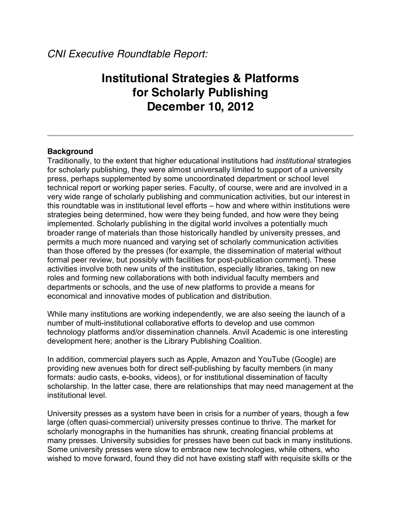# **Institutional Strategies & Platforms for Scholarly Publishing December 10, 2012**

## **Background**

Traditionally, to the extent that higher educational institutions had *institutional* strategies for scholarly publishing, they were almost universally limited to support of a university press, perhaps supplemented by some uncoordinated department or school level technical report or working paper series. Faculty, of course, were and are involved in a very wide range of scholarly publishing and communication activities, but our interest in this roundtable was in institutional level efforts – how and where within institutions were strategies being determined, how were they being funded, and how were they being implemented. Scholarly publishing in the digital world involves a potentially much broader range of materials than those historically handled by university presses, and permits a much more nuanced and varying set of scholarly communication activities than those offered by the presses (for example, the dissemination of material without formal peer review, but possibly with facilities for post-publication comment). These activities involve both new units of the institution, especially libraries, taking on new roles and forming new collaborations with both individual faculty members and departments or schools, and the use of new platforms to provide a means for economical and innovative modes of publication and distribution.

While many institutions are working independently, we are also seeing the launch of a number of multi-institutional collaborative efforts to develop and use common technology platforms and/or dissemination channels. Anvil Academic is one interesting development here; another is the Library Publishing Coalition.

In addition, commercial players such as Apple, Amazon and YouTube (Google) are providing new avenues both for direct self-publishing by faculty members (in many formats: audio casts, e-books, videos), or for institutional dissemination of faculty scholarship. In the latter case, there are relationships that may need management at the institutional level.

University presses as a system have been in crisis for a number of years, though a few large (often quasi-commercial) university presses continue to thrive. The market for scholarly monographs in the humanities has shrunk, creating financial problems at many presses. University subsidies for presses have been cut back in many institutions. Some university presses were slow to embrace new technologies, while others, who wished to move forward, found they did not have existing staff with requisite skills or the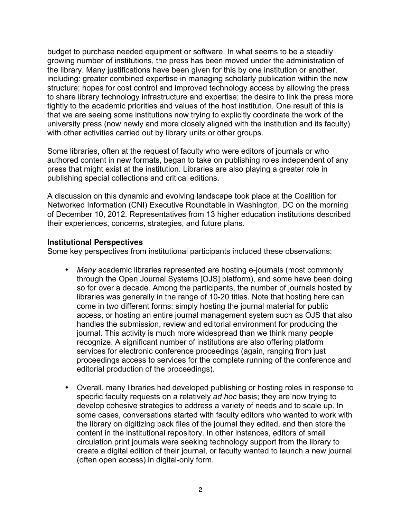budget to purchase needed equipment or software. In what seems to be a steadily growing number of institutions, the press has been moved under the administration of the library. Many justifications have been given for this by one institution or another, including: greater combined expertise in managing scholarly publication within the new structure; hopes for cost control and improved technology access by allowing the press to share library technology infrastructure and expertise; the desire to link the press more tightly to the academic priorities and values of the host institution. One result of this is that we are seeing some institutions now trying to explicitly coordinate the work of the university press (now newly and more closely aligned with the institution and its faculty) with other activities carried out by library units or other groups.

Some libraries, often at the request of faculty who were editors of journals or who authored content in new formats, began to take on publishing roles independent of any press that might exist at the institution. Libraries are also playing a greater role in publishing special collections and critical editions.

A discussion on this dynamic and evolving landscape took place at the Coalition for Networked Information (CNI) Executive Roundtable in Washington, DC on the morning of December 10, 2012. Representatives from 13 higher education institutions described their experiences, concerns, strategies, and future plans.

## **Institutional Perspectives**

Some key perspectives from institutional participants included these observations:

- *Many* academic libraries represented are hosting e-journals (most commonly through the Open Journal Systems [OJS] platform), and some have been doing so for over a decade. Among the participants, the number of journals hosted by libraries was generally in the range of 10-20 titles. Note that hosting here can come in two different forms: simply hosting the journal material for public access, or hosting an entire journal management system such as OJS that also handles the submission, review and editorial environment for producing the journal. This activity is much more widespread than we think many people recognize. A significant number of institutions are also offering platform services for electronic conference proceedings (again, ranging from just proceedings access to services for the complete running of the conference and editorial production of the proceedings).
- Overall, many libraries had developed publishing or hosting roles in response to specific faculty requests on a relatively *ad hoc* basis; they are now trying to develop cohesive strategies to address a variety of needs and to scale up. In some cases, conversations started with faculty editors who wanted to work with the library on digitizing back files of the journal they edited, and then store the content in the institutional repository. In other instances, editors of small circulation print journals were seeking technology support from the library to create a digital edition of their journal, or faculty wanted to launch a new journal (often open access) in digital-only form.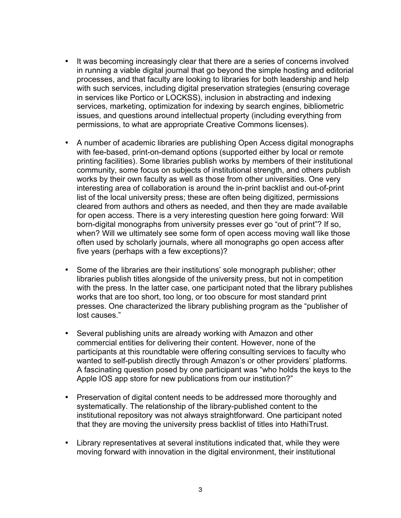- It was becoming increasingly clear that there are a series of concerns involved in running a viable digital journal that go beyond the simple hosting and editorial processes, and that faculty are looking to libraries for both leadership and help with such services, including digital preservation strategies (ensuring coverage in services like Portico or LOCKSS), inclusion in abstracting and indexing services, marketing, optimization for indexing by search engines, bibliometric issues, and questions around intellectual property (including everything from permissions, to what are appropriate Creative Commons licenses).
- A number of academic libraries are publishing Open Access digital monographs with fee-based, print-on-demand options (supported either by local or remote printing facilities). Some libraries publish works by members of their institutional community, some focus on subjects of institutional strength, and others publish works by their own faculty as well as those from other universities. One very interesting area of collaboration is around the in-print backlist and out-of-print list of the local university press; these are often being digitized, permissions cleared from authors and others as needed, and then they are made available for open access. There is a very interesting question here going forward: Will born-digital monographs from university presses ever go "out of print"? If so, when? Will we ultimately see some form of open access moving wall like those often used by scholarly journals, where all monographs go open access after five years (perhaps with a few exceptions)?
- Some of the libraries are their institutions' sole monograph publisher; other libraries publish titles alongside of the university press, but not in competition with the press. In the latter case, one participant noted that the library publishes works that are too short, too long, or too obscure for most standard print presses. One characterized the library publishing program as the "publisher of lost causes."
- Several publishing units are already working with Amazon and other commercial entities for delivering their content. However, none of the participants at this roundtable were offering consulting services to faculty who wanted to self-publish directly through Amazon's or other providers' platforms. A fascinating question posed by one participant was "who holds the keys to the Apple IOS app store for new publications from our institution?"
- Preservation of digital content needs to be addressed more thoroughly and systematically. The relationship of the library-published content to the institutional repository was not always straightforward. One participant noted that they are moving the university press backlist of titles into HathiTrust.
- Library representatives at several institutions indicated that, while they were moving forward with innovation in the digital environment, their institutional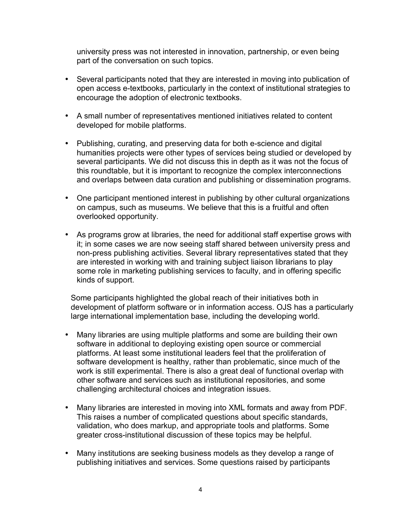university press was not interested in innovation, partnership, or even being part of the conversation on such topics.

- Several participants noted that they are interested in moving into publication of open access e-textbooks, particularly in the context of institutional strategies to encourage the adoption of electronic textbooks.
- A small number of representatives mentioned initiatives related to content developed for mobile platforms.
- Publishing, curating, and preserving data for both e-science and digital humanities projects were other types of services being studied or developed by several participants. We did not discuss this in depth as it was not the focus of this roundtable, but it is important to recognize the complex interconnections and overlaps between data curation and publishing or dissemination programs.
- One participant mentioned interest in publishing by other cultural organizations on campus, such as museums. We believe that this is a fruitful and often overlooked opportunity.
- As programs grow at libraries, the need for additional staff expertise grows with it; in some cases we are now seeing staff shared between university press and non-press publishing activities. Several library representatives stated that they are interested in working with and training subject liaison librarians to play some role in marketing publishing services to faculty, and in offering specific kinds of support.

Some participants highlighted the global reach of their initiatives both in development of platform software or in information access. OJS has a particularly large international implementation base, including the developing world.

- Many libraries are using multiple platforms and some are building their own software in additional to deploying existing open source or commercial platforms. At least some institutional leaders feel that the proliferation of software development is healthy, rather than problematic, since much of the work is still experimental. There is also a great deal of functional overlap with other software and services such as institutional repositories, and some challenging architectural choices and integration issues.
- Many libraries are interested in moving into XML formats and away from PDF. This raises a number of complicated questions about specific standards, validation, who does markup, and appropriate tools and platforms. Some greater cross-institutional discussion of these topics may be helpful.
- Many institutions are seeking business models as they develop a range of publishing initiatives and services. Some questions raised by participants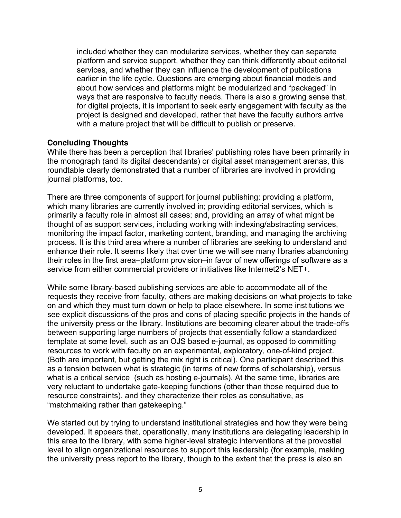included whether they can modularize services, whether they can separate platform and service support, whether they can think differently about editorial services, and whether they can influence the development of publications earlier in the life cycle. Questions are emerging about financial models and about how services and platforms might be modularized and "packaged" in ways that are responsive to faculty needs. There is also a growing sense that, for digital projects, it is important to seek early engagement with faculty as the project is designed and developed, rather that have the faculty authors arrive with a mature project that will be difficult to publish or preserve.

## **Concluding Thoughts**

While there has been a perception that libraries' publishing roles have been primarily in the monograph (and its digital descendants) or digital asset management arenas, this roundtable clearly demonstrated that a number of libraries are involved in providing journal platforms, too.

There are three components of support for journal publishing: providing a platform, which many libraries are currently involved in; providing editorial services, which is primarily a faculty role in almost all cases; and, providing an array of what might be thought of as support services, including working with indexing/abstracting services, monitoring the impact factor, marketing content, branding, and managing the archiving process. It is this third area where a number of libraries are seeking to understand and enhance their role. It seems likely that over time we will see many libraries abandoning their roles in the first area–platform provision–in favor of new offerings of software as a service from either commercial providers or initiatives like Internet2's NET+.

While some library-based publishing services are able to accommodate all of the requests they receive from faculty, others are making decisions on what projects to take on and which they must turn down or help to place elsewhere. In some institutions we see explicit discussions of the pros and cons of placing specific projects in the hands of the university press or the library. Institutions are becoming clearer about the trade-offs between supporting large numbers of projects that essentially follow a standardized template at some level, such as an OJS based e-journal, as opposed to committing resources to work with faculty on an experimental, exploratory, one-of-kind project. (Both are important, but getting the mix right is critical). One participant described this as a tension between what is strategic (in terms of new forms of scholarship), versus what is a critical service (such as hosting e-journals). At the same time, libraries are very reluctant to undertake gate-keeping functions (other than those required due to resource constraints), and they characterize their roles as consultative, as "matchmaking rather than gatekeeping."

We started out by trying to understand institutional strategies and how they were being developed. It appears that, operationally, many institutions are delegating leadership in this area to the library, with some higher-level strategic interventions at the provostial level to align organizational resources to support this leadership (for example, making the university press report to the library, though to the extent that the press is also an